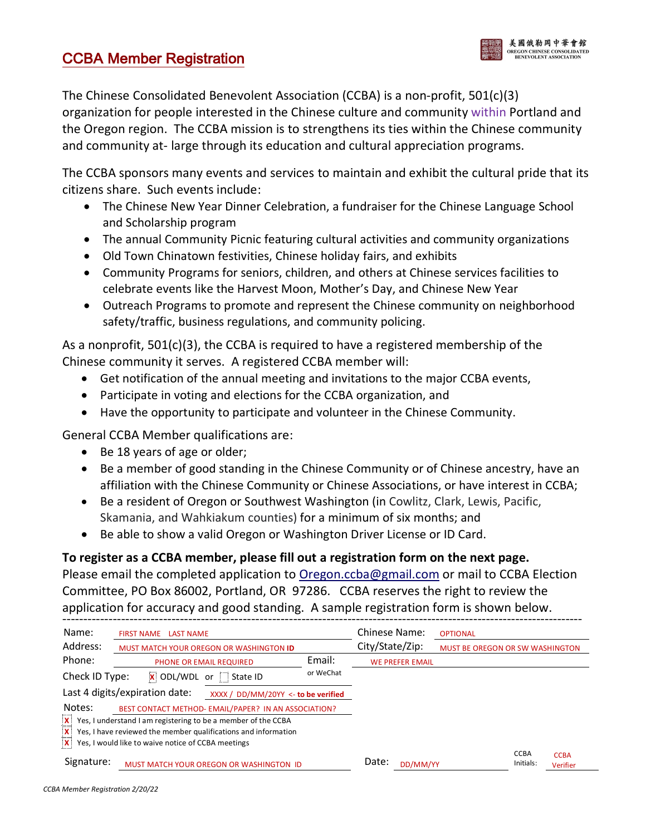## **CCBA Member Registration**



The Chinese Consolidated Benevolent Association (CCBA) is a non-profit, 501(c)(3) organization for people interested in the Chinese culture and community within Portland and the Oregon region. The CCBA mission is to strengthens its ties within the Chinese community and community at- large through its education and cultural appreciation programs.

The CCBA sponsors many events and services to maintain and exhibit the cultural pride that its citizens share. Such events include:

- The Chinese New Year Dinner Celebration, a fundraiser for the Chinese Language School and Scholarship program
- The annual Community Picnic featuring cultural activities and community organizations
- Old Town Chinatown festivities, Chinese holiday fairs, and exhibits
- Community Programs for seniors, children, and others at Chinese services facilities to celebrate events like the Harvest Moon, Mother's Day, and Chinese New Year
- Outreach Programs to promote and represent the Chinese community on neighborhood safety/traffic, business regulations, and community policing.

As a nonprofit, 501(c)(3), the CCBA is required to have a registered membership of the Chinese community it serves. A registered CCBA member will:

- Get notification of the annual meeting and invitations to the major CCBA events,
- Participate in voting and elections for the CCBA organization, and
- Have the opportunity to participate and volunteer in the Chinese Community.

General CCBA Member qualifications are:

- Be 18 years of age or older;
- Be a member of good standing in the Chinese Community or of Chinese ancestry, have an affiliation with the Chinese Community or Chinese Associations, or have interest in CCBA;
- Be a resident of Oregon or Southwest Washington (in Cowlitz, Clark, Lewis, Pacific, Skamania, and Wahkiakum counties) for a minimum of six months; and
- Be able to show a valid Oregon or Washington Driver License or ID Card.

#### **To register as a CCBA member, please fill out a registration form on the next page.**

Please email the completed application to Oregon.ccba@gmail.com or mail to CCBA Election Committee, PO Box 86002, Portland, OR 97286. CCBA reserves the right to review the application for accuracy and good standing. A sample registration form is shown below.

| Name:          | <b>FIRST NAME</b><br><b>LAST NAME</b><br>MUST MATCH YOUR OREGON OR WASHINGTON ID |           | Chinese Name:<br>City/State/Zip: | <b>OPTIONAL</b><br>MUST BE OREGON OR SW WASHINGTON |                                                     |
|----------------|----------------------------------------------------------------------------------|-----------|----------------------------------|----------------------------------------------------|-----------------------------------------------------|
| Address:       |                                                                                  |           |                                  |                                                    |                                                     |
| Phone:         | <b>PHONE OR EMAIL REQUIRED</b>                                                   | Email:    | <b>WE PREFER EMAIL</b>           |                                                    |                                                     |
| Check ID Type: | <b>x</b> ODL/WDL<br>State ID<br>or                                               | or WeChat |                                  |                                                    |                                                     |
|                | Last 4 digits/expiration date:<br>XXXX / DD/MM/20YY <- to be verified            |           |                                  |                                                    |                                                     |
| Notes:         | BEST CONTACT METHOD- EMAIL/PAPER? IN AN ASSOCIATION?                             |           |                                  |                                                    |                                                     |
| $\frac{x}{x}$  | Yes, I understand I am registering to be a member of the CCBA                    |           |                                  |                                                    |                                                     |
|                | Yes, I have reviewed the member qualifications and information                   |           |                                  |                                                    |                                                     |
| $\mathbf{x}$   | Yes, I would like to waive notice of CCBA meetings                               |           |                                  |                                                    |                                                     |
| Signature:     | MUST MATCH YOUR OREGON OR WASHINGTON ID                                          |           | Date:<br>DD/MM/YY                |                                                    | <b>CCBA</b><br><b>CCBA</b><br>Initials:<br>Verifier |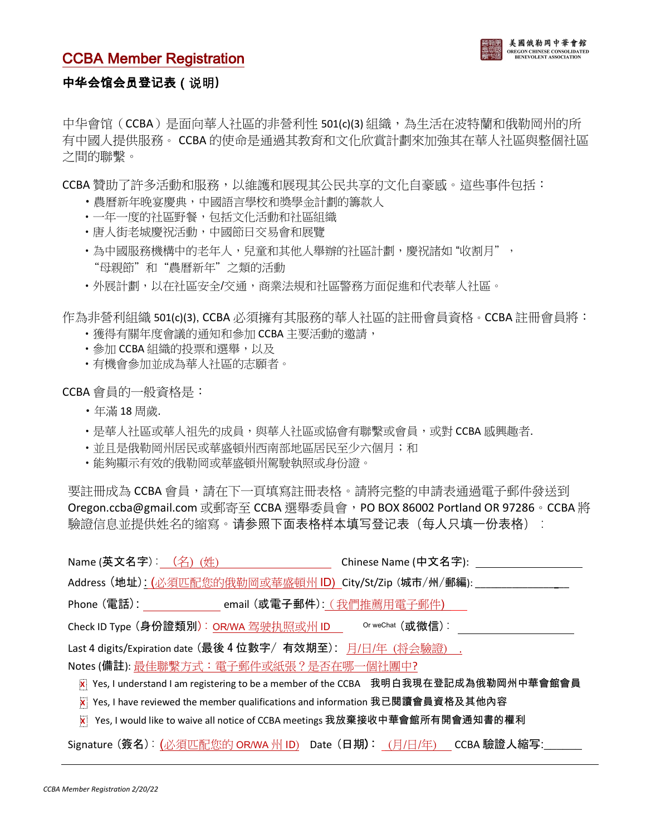### **CCBA Member Registration**



#### 中华会馆会员登记表 ( 说明)

中华會馆 (CCBA)是面向華人社區的非營利性 501(c)(3) 組織,為生活在波特蘭和俄勒岡州的所 有中國人提供服務。 CCBA 的使命是通過其教育和文化欣賞計劃來加強其在華人社區與整個社區 之間的聯繫。

CCBA 贊助了許多活動和服務,以維護和展現其公民共享的文化自豪感。這些事件包括:

- •農曆新年晚宴慶典,中國語言學校和獎學金計劃的籌款人
- •一年一度的社區野餐,包括文化活動和社區組織
- •唐人街老城慶祝活動,中國節日交易會和展覽
- •為中國服務機構中的老年人,兒童和其他人舉辦的社區計劃, 慶祝諸如"收割月", "母親節"和"農曆新年"之類的活動
- •外展計劃,以在社區安全/交通,商業法規和社區警務方面促進和代表華人社區。

作為非營利組織 501(c)(3),CCBA 必須擁有其服務的華人社區的註冊會員資格。CCBA 註冊會員將:

- •獲得有關年度會議的通知和參加 CCBA 主要活動的邀請,
- •參加 CCBA 組織的投票和選舉,以及
- •有機會參加並成為華人社區的志願者。

CCBA 會員的一般資格是:

- •年滿 18 周歲>
- •是華人社區或華人祖先的成員,與華人社區或協會有聯繫或會員,或對 CCBA 感興趣者.
- 並且是俄勒岡州居民或華盛頓州西南部地區居民至少六個月; 和
- •能夠顯示有效的俄勒岡或華盛頓州駕駛執照或身份證。

要註冊成為 CCBA 會員,請在下一頁填寫註冊表格。請將完整的申請表通過電子郵件發送到 Oregon.ccba@gmail.com 或郵寄至 CCBA 選舉委員會,PO BOX 86002 Portland OR 97286。CCBA 將 驗證信息並提供姓名的縮寫。请参照下面表格样本填写登记表(每人只填一份表格):

| Name (英文名字):_ <u>(名)(姓)</u> _____________________                                    | Chinese Name (中文名字): |
|--------------------------------------------------------------------------------------|----------------------|
| Address (地址): (必須匹配您的俄勒岡或華盛頓州 ID) City/St/Zip (城市/州/郵編): ______                      |                      |
| Phone (電話):<br>email (或電子郵件): (我們推薦用電子郵件)                                            |                      |
| Check ID Type (身份證類別):OR/WA 驾驶执照或州 ID Or weChat (或微信):                               |                      |
| Last 4 digits/Expiration date (最後 4 位數字/ 有效期至): 月/日/年 (将会驗證).                        |                      |
| Notes (備註): 最佳聯繫方式: 電子郵件或紙張? 是否在哪一個社團中?                                              |                      |
| 区 Yes, I understand I am registering to be a member of the CCBA 我明白我現在登記成為俄勒岡州中華會館會員 |                      |
| 区 Yes, I have reviewed the member qualifications and information 我已閱讀會員資格及其他內容       |                      |
| 区 Yes, I would like to waive all notice of CCBA meetings 我放棄接收中華會館所有開會通知書的權利         |                      |
| Signature (簽名): (必須匹配您的 ORWA 州 ID) Date (日期): (月/日/年) CCBA 驗證人縮写:                    |                      |